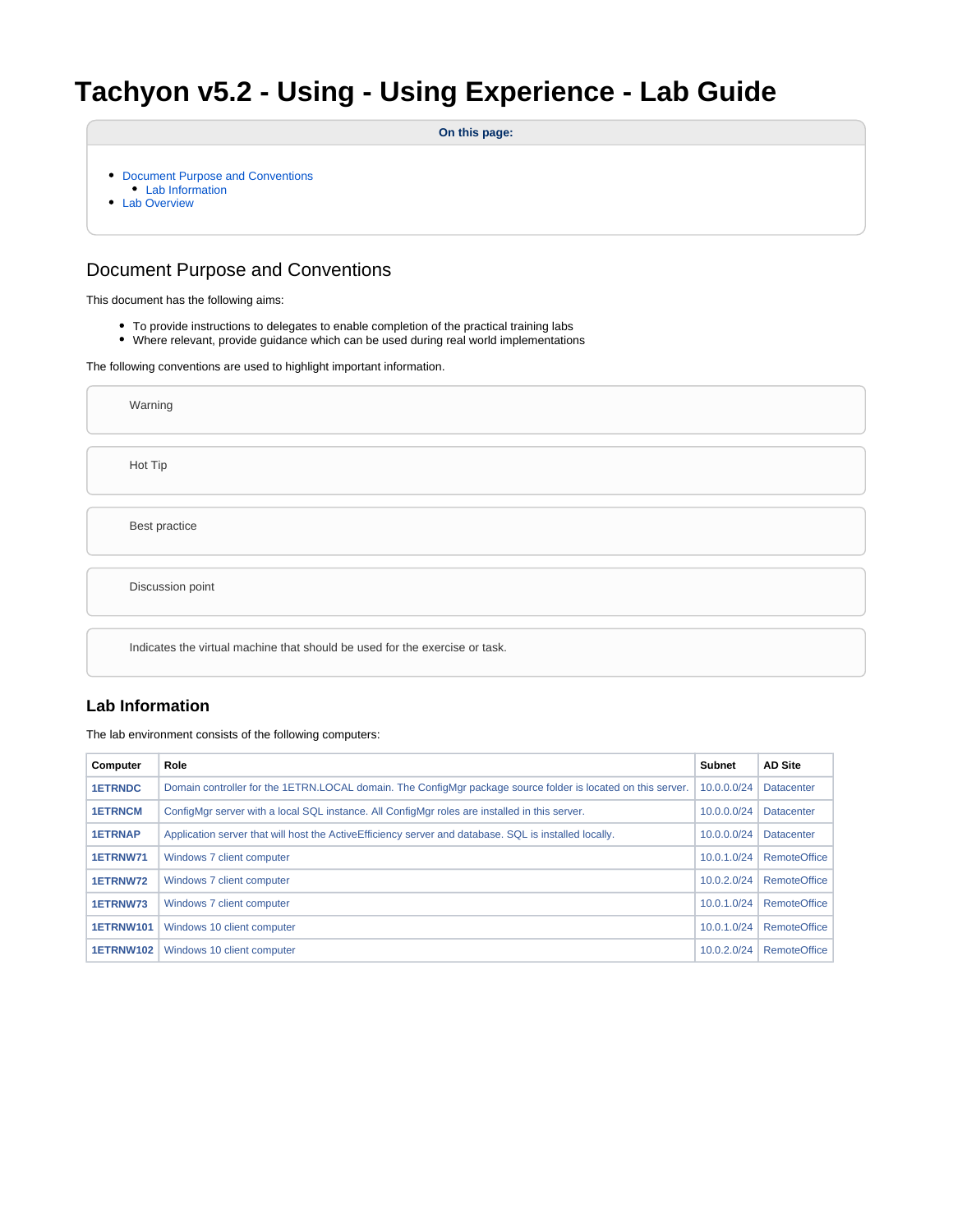# **Tachyon v5.2 - Using - Using Experience - Lab Guide**

**On this page:**

- [Document Purpose and Conventions](#page-0-0)
- [Lab Information](#page-0-1)
- [Lab Overview](#page-1-0)

## <span id="page-0-0"></span>Document Purpose and Conventions

This document has the following aims:

- To provide instructions to delegates to enable completion of the practical training labs
- Where relevant, provide guidance which can be used during real world implementations

The following conventions are used to highlight important information.

Warning Hot Tip Best practice Discussion point Indicates the virtual machine that should be used for the exercise or task.

### <span id="page-0-1"></span>**Lab Information**

The lab environment consists of the following computers:

| Computer         | Role                                                                                                         | <b>Subnet</b> | <b>AD Site</b>      |
|------------------|--------------------------------------------------------------------------------------------------------------|---------------|---------------------|
| <b>1ETRNDC</b>   | Domain controller for the 1ETRN.LOCAL domain. The ConfigMgr package source folder is located on this server. | 10.0.0.0/24   | <b>Datacenter</b>   |
| <b>1ETRNCM</b>   | ConfigMgr server with a local SQL instance. All ConfigMgr roles are installed in this server.                | 10.0.0.0/24   | <b>Datacenter</b>   |
| <b>1ETRNAP</b>   | Application server that will host the Active Efficiency server and database. SQL is installed locally.       | 10.0.0.0/24   | <b>Datacenter</b>   |
| 1ETRNW71         | Windows 7 client computer                                                                                    | 10.0.1.0/24   | <b>RemoteOffice</b> |
| 1ETRNW72         | Windows 7 client computer                                                                                    | 10.0.2.0/24   | <b>RemoteOffice</b> |
| 1ETRNW73         | Windows 7 client computer                                                                                    | 10.0.1.0/24   | <b>RemoteOffice</b> |
| <b>1ETRNW101</b> | Windows 10 client computer                                                                                   | 10.0.1.0/24   | <b>RemoteOffice</b> |
| <b>1ETRNW102</b> | Windows 10 client computer                                                                                   | 10.0.2.0/24   | <b>RemoteOffice</b> |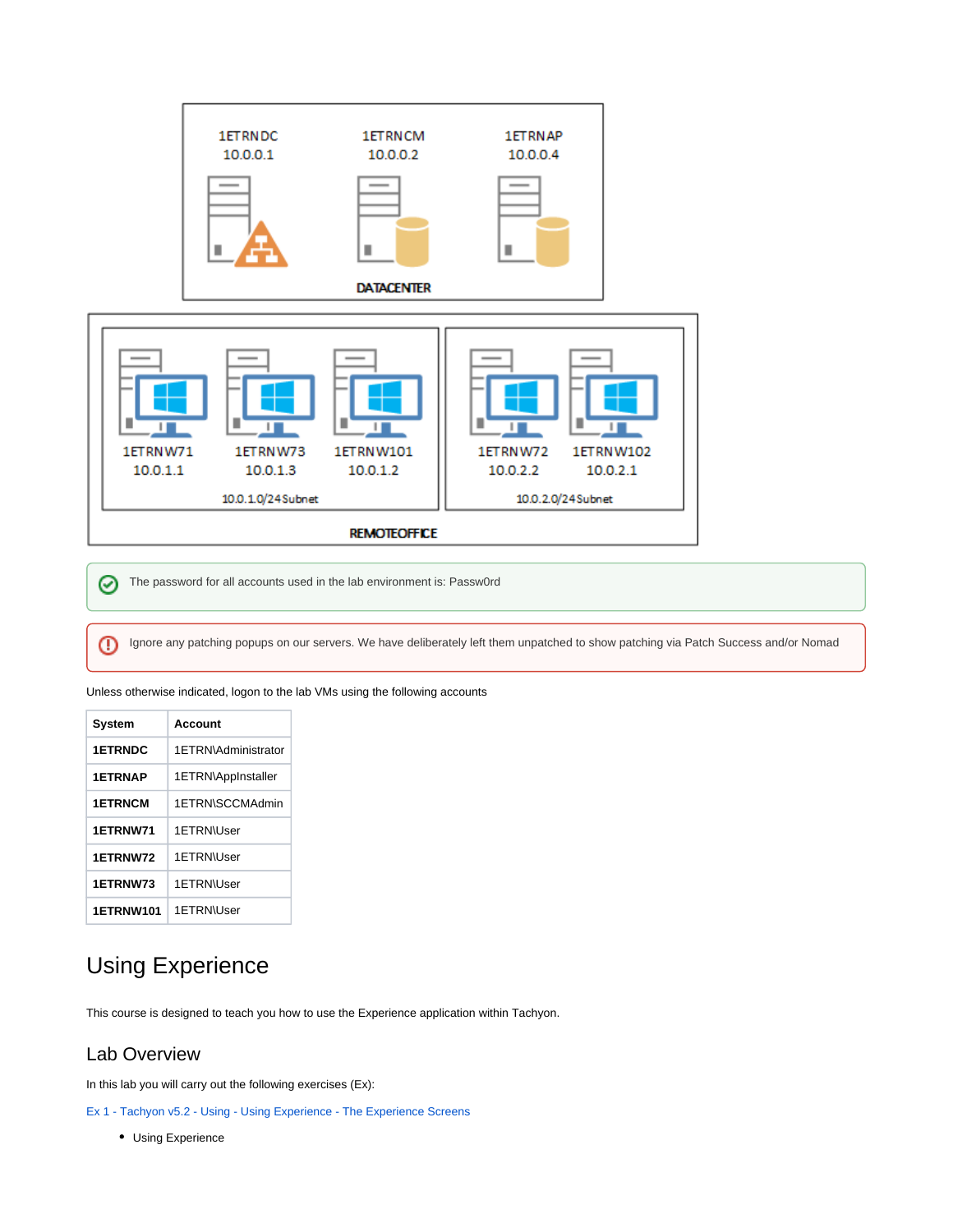

The password for all accounts used in the lab environment is: Passw0rd ⊘

Ignore any patching popups on our servers. We have deliberately left them unpatched to show patching via Patch Success and/or Nomad⋒

Unless otherwise indicated, logon to the lab VMs using the following accounts

| System           | Account             |
|------------------|---------------------|
| <b>1ETRNDC</b>   | 1FTRN\Administrator |
| <b>1ETRNAP</b>   | 1ETRN\AppInstaller  |
| <b>1ETRNCM</b>   | 1FTRN\SCCMAdmin     |
| 1ETRNW71         | 1ETRN\User          |
| 1ETRNW72         | 1FTRN\User          |
| 1ETRNW73         | 1ETRN\User          |
| <b>1ETRNW101</b> | 1FTRN\User          |

## Using Experience

This course is designed to teach you how to use the Experience application within Tachyon.

## <span id="page-1-0"></span>Lab Overview

In this lab you will carry out the following exercises (Ex):

[Ex 1 - Tachyon v5.2 - Using - Using Experience - The Experience Screens](https://help.1e.com/display/TCN52/Ex+1+-+Tachyon+v5.2+-+Using+-+Using+Experience+-+The+Experience+Screens)

Using Experience